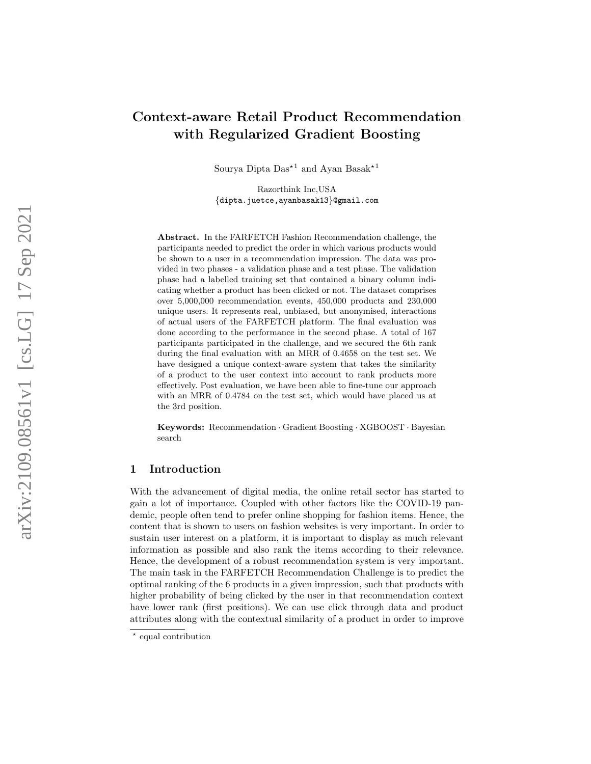# Context-aware Retail Product Recommendation with Regularized Gradient Boosting

Sourya Dipta  $\text{Das}^{\star 1}$  and Ayan Basak<sup>\*1</sup>

Razorthink Inc,USA {dipta.juetce,ayanbasak13 }@gmail.com

Abstract. In the FARFETCH Fashion Recommendation challenge, the participants needed to predict the order in which various products would be shown to a user in a recommendation impression. The data was provided in two phases - a validation phase and a test phase. The validation phase had a labelled training set that contained a binary column indicating whether a product has been clicked or not. The dataset comprises over 5,000,000 recommendation events, 450,000 products and 230,000 unique users. It represents real, unbiased, but anonymised, interactions of actual users of the FARFETCH platform. The final evaluation was done according to the performance in the second phase. A total of 167 participants participated in the challenge, and we secured the 6th rank during the final evaluation with an MRR of 0.4658 on the test set. We have designed a unique context-aware system that takes the similarity of a product to the user context into account to rank products more effectively. Post evaluation, we have been able to fine-tune our approach with an MRR of 0.4784 on the test set, which would have placed us at the 3rd position.

Keywords: Recommendation · Gradient Boosting · XGBOOST · Bayesian search

## 1 Introduction

With the advancement of digital media, the online retail sector has started to gain a lot of importance. Coupled with other factors like the COVID-19 pandemic, people often tend to prefer online shopping for fashion items. Hence, the content that is shown to users on fashion websites is very important. In order to sustain user interest on a platform, it is important to display as much relevant information as possible and also rank the items according to their relevance. Hence, the development of a robust recommendation system is very important. The main task in the FARFETCH Recommendation Challenge is to predict the optimal ranking of the 6 products in a given impression, such that products with higher probability of being clicked by the user in that recommendation context have lower rank (first positions). We can use click through data and product attributes along with the contextual similarity of a product in order to improve

<sup>\*</sup> equal contribution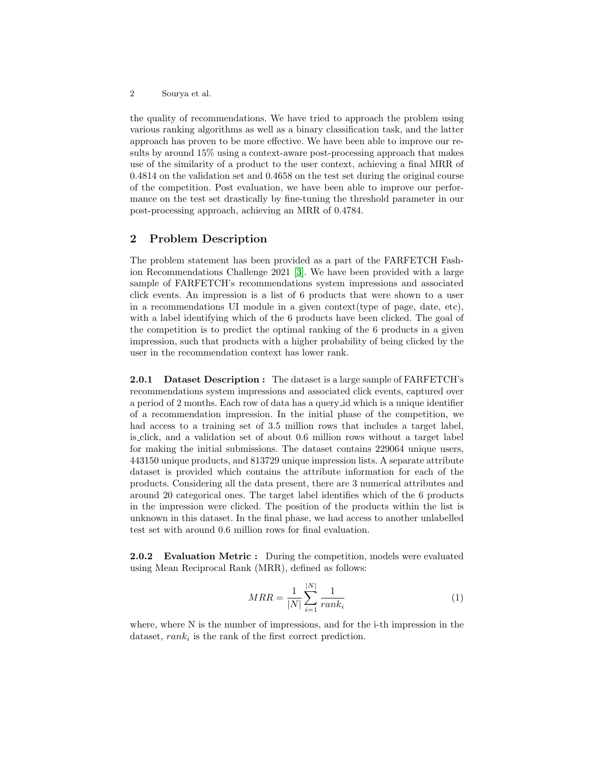the quality of recommendations. We have tried to approach the problem using various ranking algorithms as well as a binary classification task, and the latter approach has proven to be more effective. We have been able to improve our results by around 15% using a context-aware post-processing approach that makes use of the similarity of a product to the user context, achieving a final MRR of 0.4814 on the validation set and 0.4658 on the test set during the original course of the competition. Post evaluation, we have been able to improve our performance on the test set drastically by fine-tuning the threshold parameter in our post-processing approach, achieving an MRR of 0.4784.

## 2 Problem Description

The problem statement has been provided as a part of the FARFETCH Fashion Recommendations Challenge 2021 [\[3\]](#page-8-0). We have been provided with a large sample of FARFETCH's recommendations system impressions and associated click events. An impression is a list of 6 products that were shown to a user in a recommendations UI module in a given context(type of page, date, etc), with a label identifying which of the 6 products have been clicked. The goal of the competition is to predict the optimal ranking of the 6 products in a given impression, such that products with a higher probability of being clicked by the user in the recommendation context has lower rank.

2.0.1 Dataset Description : The dataset is a large sample of FARFETCH's recommendations system impressions and associated click events, captured over a period of 2 months. Each row of data has a query id which is a unique identifier of a recommendation impression. In the initial phase of the competition, we had access to a training set of 3.5 million rows that includes a target label, is click, and a validation set of about 0.6 million rows without a target label for making the initial submissions. The dataset contains 229064 unique users, 443150 unique products, and 813729 unique impression lists. A separate attribute dataset is provided which contains the attribute information for each of the products. Considering all the data present, there are 3 numerical attributes and around 20 categorical ones. The target label identifies which of the 6 products in the impression were clicked. The position of the products within the list is unknown in this dataset. In the final phase, we had access to another unlabelled test set with around 0.6 million rows for final evaluation.

2.0.2 Evaluation Metric : During the competition, models were evaluated using Mean Reciprocal Rank (MRR), defined as follows:

$$
MRR = \frac{1}{|N|} \sum_{i=1}^{|N|} \frac{1}{rank_i}
$$
 (1)

where, where N is the number of impressions, and for the i-th impression in the dataset,  $rank_i$  is the rank of the first correct prediction.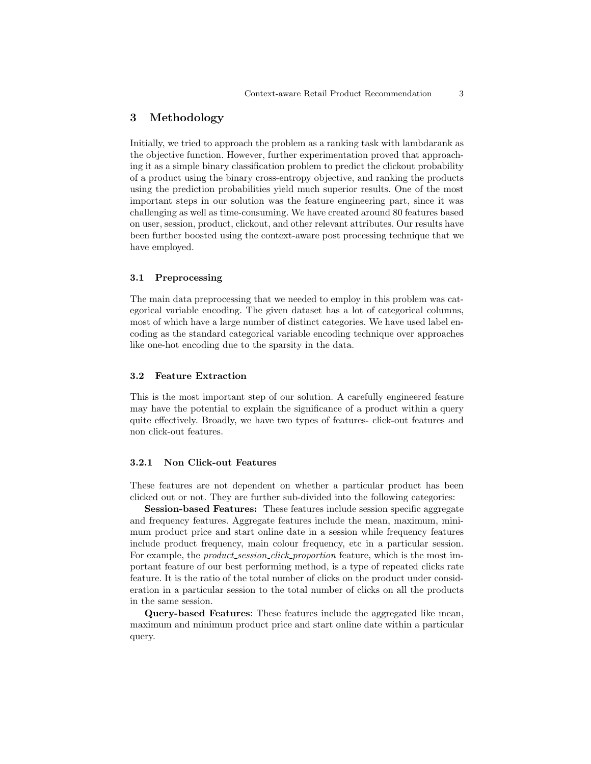## 3 Methodology

Initially, we tried to approach the problem as a ranking task with lambdarank as the objective function. However, further experimentation proved that approaching it as a simple binary classification problem to predict the clickout probability of a product using the binary cross-entropy objective, and ranking the products using the prediction probabilities yield much superior results. One of the most important steps in our solution was the feature engineering part, since it was challenging as well as time-consuming. We have created around 80 features based on user, session, product, clickout, and other relevant attributes. Our results have been further boosted using the context-aware post processing technique that we have employed.

#### 3.1 Preprocessing

The main data preprocessing that we needed to employ in this problem was categorical variable encoding. The given dataset has a lot of categorical columns, most of which have a large number of distinct categories. We have used label encoding as the standard categorical variable encoding technique over approaches like one-hot encoding due to the sparsity in the data.

#### 3.2 Feature Extraction

This is the most important step of our solution. A carefully engineered feature may have the potential to explain the significance of a product within a query quite effectively. Broadly, we have two types of features- click-out features and non click-out features.

#### 3.2.1 Non Click-out Features

These features are not dependent on whether a particular product has been clicked out or not. They are further sub-divided into the following categories:

Session-based Features: These features include session specific aggregate and frequency features. Aggregate features include the mean, maximum, minimum product price and start online date in a session while frequency features include product frequency, main colour frequency, etc in a particular session. For example, the *product session click proportion* feature, which is the most important feature of our best performing method, is a type of repeated clicks rate feature. It is the ratio of the total number of clicks on the product under consideration in a particular session to the total number of clicks on all the products in the same session.

Query-based Features: These features include the aggregated like mean, maximum and minimum product price and start online date within a particular query.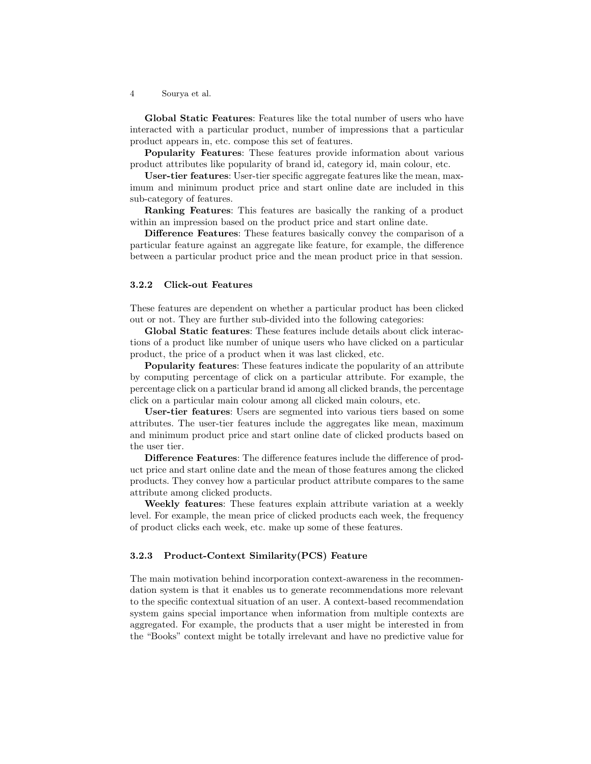Global Static Features: Features like the total number of users who have interacted with a particular product, number of impressions that a particular product appears in, etc. compose this set of features.

Popularity Features: These features provide information about various product attributes like popularity of brand id, category id, main colour, etc.

User-tier features: User-tier specific aggregate features like the mean, maximum and minimum product price and start online date are included in this sub-category of features.

Ranking Features: This features are basically the ranking of a product within an impression based on the product price and start online date.

Difference Features: These features basically convey the comparison of a particular feature against an aggregate like feature, for example, the difference between a particular product price and the mean product price in that session.

#### 3.2.2 Click-out Features

These features are dependent on whether a particular product has been clicked out or not. They are further sub-divided into the following categories:

Global Static features: These features include details about click interactions of a product like number of unique users who have clicked on a particular product, the price of a product when it was last clicked, etc.

Popularity features: These features indicate the popularity of an attribute by computing percentage of click on a particular attribute. For example, the percentage click on a particular brand id among all clicked brands, the percentage click on a particular main colour among all clicked main colours, etc.

User-tier features: Users are segmented into various tiers based on some attributes. The user-tier features include the aggregates like mean, maximum and minimum product price and start online date of clicked products based on the user tier.

Difference Features: The difference features include the difference of product price and start online date and the mean of those features among the clicked products. They convey how a particular product attribute compares to the same attribute among clicked products.

Weekly features: These features explain attribute variation at a weekly level. For example, the mean price of clicked products each week, the frequency of product clicks each week, etc. make up some of these features.

#### 3.2.3 Product-Context Similarity(PCS) Feature

The main motivation behind incorporation context-awareness in the recommendation system is that it enables us to generate recommendations more relevant to the specific contextual situation of an user. A context-based recommendation system gains special importance when information from multiple contexts are aggregated. For example, the products that a user might be interested in from the "Books" context might be totally irrelevant and have no predictive value for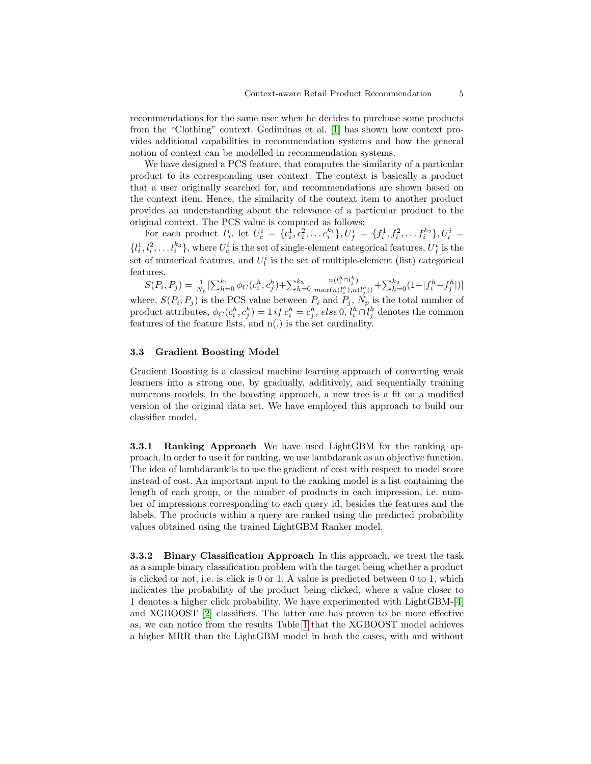recommendations for the same user when he decides to purchase some products from the "Clothing" context. Gediminas et al. [\[1\]](#page-7-0) has shown how context provides additional capabilities in recommendation systems and how the general notion of context can be modelled in recommendation systems.

We have designed a PCS feature, that computes the similarity of a particular product to its corresponding user context. The context is basically a product that a user originally searched for, and recommendations are shown based on the context item. Hence, the similarity of the context item to another product provides an understanding about the relevance of a particular product to the original context. The PCS value is computed as follows:

For each product  $P_i$ , let  $U_c^i = \{c_i^1, c_i^2, \ldots c_i^{k_1}\}, U_f^i = \{f_i^1, f_i^2, \ldots f_i^{k_2}\}, U_l^i =$  $\{l_i^1, l_i^2, \ldots l_i^{k_3}\}$ , where  $U_c^i$  is the set of single-element categorical features,  $U_f^i$  is the set of numerical features, and  $U_l^i$  is the set of multiple-element (list) categorical features.

 $S(P_i, P_j) = \frac{1}{N_p} \left[ \sum_{h=0}^{k_1} \phi_C(c_i^h, c_j^h) + \sum_{h=0}^{k_3} \right]$  $n(l_i^h \cap l_j^h)$  $\frac{n(l_i^n \cap l_j^n)}{max(n(l_i^h), n(l_j^h))} + \sum_{h=0}^{k_2} (1 - |f_i^h - f_j^h|)]$ where,  $S(P_i, P_j)$  is the PCS value between  $P_i$  and  $P_j$ ,  $N_p$  is the total number of product attributes,  $\phi_C(c_i^h, c_j^h) = 1$  if  $c_i^h = c_j^h$ , else 0,  $l_i^h \cap l_j^h$  denotes the common features of the feature lists, and n(.) is the set cardinality.

#### 3.3 Gradient Boosting Model

Gradient Boosting is a classical machine learning approach of converting weak learners into a strong one, by gradually, additively, and sequentially training numerous models. In the boosting approach, a new tree is a fit on a modified version of the original data set. We have employed this approach to build our classifier model.

3.3.1 Ranking Approach We have used LightGBM for the ranking approach. In order to use it for ranking, we use lambdarank as an objective function. The idea of lambdarank is to use the gradient of cost with respect to model score instead of cost. An important input to the ranking model is a list containing the length of each group, or the number of products in each impression, i.e. number of impressions corresponding to each query id, besides the features and the labels. The products within a query are ranked using the predicted probability values obtained using the trained LightGBM Ranker model.

3.3.2 Binary Classification Approach In this approach, we treat the task as a simple binary classification problem with the target being whether a product is clicked or not, i.e. is click is 0 or 1. A value is predicted between 0 to 1, which indicates the probability of the product being clicked, where a value closer to 1 denotes a higher click probability. We have experimented with LightGBM-[\[4\]](#page-8-1) and XGBOOST [\[2\]](#page-7-1) classifiers. The latter one has proven to be more effective as, we can notice from the results Table [1](#page-7-2) that the XGBOOST model achieves a higher MRR than the LightGBM model in both the cases, with and without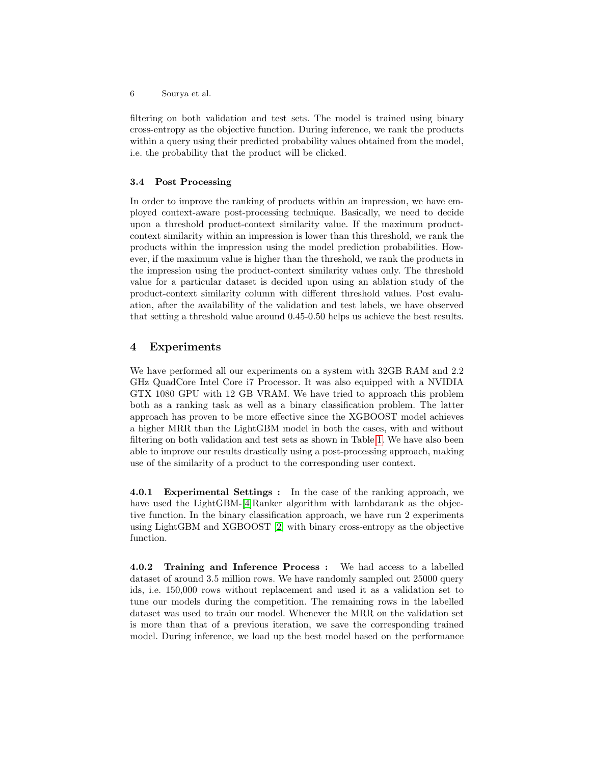filtering on both validation and test sets. The model is trained using binary cross-entropy as the objective function. During inference, we rank the products within a query using their predicted probability values obtained from the model, i.e. the probability that the product will be clicked.

#### 3.4 Post Processing

In order to improve the ranking of products within an impression, we have employed context-aware post-processing technique. Basically, we need to decide upon a threshold product-context similarity value. If the maximum productcontext similarity within an impression is lower than this threshold, we rank the products within the impression using the model prediction probabilities. However, if the maximum value is higher than the threshold, we rank the products in the impression using the product-context similarity values only. The threshold value for a particular dataset is decided upon using an ablation study of the product-context similarity column with different threshold values. Post evaluation, after the availability of the validation and test labels, we have observed that setting a threshold value around 0.45-0.50 helps us achieve the best results.

## 4 Experiments

We have performed all our experiments on a system with 32GB RAM and 2.2 GHz QuadCore Intel Core i7 Processor. It was also equipped with a NVIDIA GTX 1080 GPU with 12 GB VRAM. We have tried to approach this problem both as a ranking task as well as a binary classification problem. The latter approach has proven to be more effective since the XGBOOST model achieves a higher MRR than the LightGBM model in both the cases, with and without filtering on both validation and test sets as shown in Table [1.](#page-7-2) We have also been able to improve our results drastically using a post-processing approach, making use of the similarity of a product to the corresponding user context.

4.0.1 Experimental Settings : In the case of the ranking approach, we have used the LightGBM-[\[4\]](#page-8-1)Ranker algorithm with lambdarank as the objective function. In the binary classification approach, we have run 2 experiments using LightGBM and XGBOOST [\[2\]](#page-7-1) with binary cross-entropy as the objective function.

4.0.2 Training and Inference Process : We had access to a labelled dataset of around 3.5 million rows. We have randomly sampled out 25000 query ids, i.e. 150,000 rows without replacement and used it as a validation set to tune our models during the competition. The remaining rows in the labelled dataset was used to train our model. Whenever the MRR on the validation set is more than that of a previous iteration, we save the corresponding trained model. During inference, we load up the best model based on the performance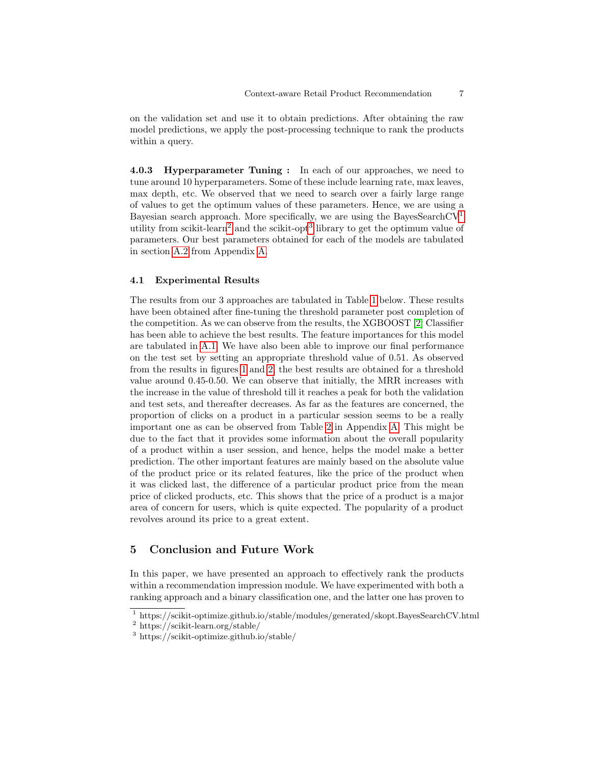on the validation set and use it to obtain predictions. After obtaining the raw model predictions, we apply the post-processing technique to rank the products within a query.

4.0.3 Hyperparameter Tuning : In each of our approaches, we need to tune around 10 hyperparameters. Some of these include learning rate, max leaves, max depth, etc. We observed that we need to search over a fairly large range of values to get the optimum values of these parameters. Hence, we are using a Bayesian search approach. More specifically, we are using the BayesSearchCV<sup>[1](#page-6-0)</sup> utility from scikit-learn<sup>[2](#page-6-1)</sup> and the scikit-opt<sup>[3](#page-6-2)</sup> library to get the optimum value of parameters. Our best parameters obtained for each of the models are tabulated in section [A.2](#page-8-2) from Appendix [A.](#page-8-3)

#### 4.1 Experimental Results

The results from our 3 approaches are tabulated in Table [1](#page-7-2) below. These results have been obtained after fine-tuning the threshold parameter post completion of the competition. As we can observe from the results, the XGBOOST [\[2\]](#page-7-1) Classifier has been able to achieve the best results. The feature importances for this model are tabulated in [A.1.](#page-8-4) We have also been able to improve our final performance on the test set by setting an appropriate threshold value of 0.51. As observed from the results in figures [1](#page-7-3) and [2,](#page-7-4) the best results are obtained for a threshold value around 0.45-0.50. We can observe that initially, the MRR increases with the increase in the value of threshold till it reaches a peak for both the validation and test sets, and thereafter decreases. As far as the features are concerned, the proportion of clicks on a product in a particular session seems to be a really important one as can be observed from Table [2](#page-8-5) in Appendix [A.](#page-8-3) This might be due to the fact that it provides some information about the overall popularity of a product within a user session, and hence, helps the model make a better prediction. The other important features are mainly based on the absolute value of the product price or its related features, like the price of the product when it was clicked last, the difference of a particular product price from the mean price of clicked products, etc. This shows that the price of a product is a major area of concern for users, which is quite expected. The popularity of a product revolves around its price to a great extent.

## 5 Conclusion and Future Work

In this paper, we have presented an approach to effectively rank the products within a recommendation impression module. We have experimented with both a ranking approach and a binary classification one, and the latter one has proven to

<span id="page-6-0"></span> $^{\rm 1}$ https://scikit-optimize.github.io/stable/modules/generated/skopt.BayesSearchCV.html

<span id="page-6-1"></span><sup>2</sup> https://scikit-learn.org/stable/

<span id="page-6-2"></span><sup>3</sup> https://scikit-optimize.github.io/stable/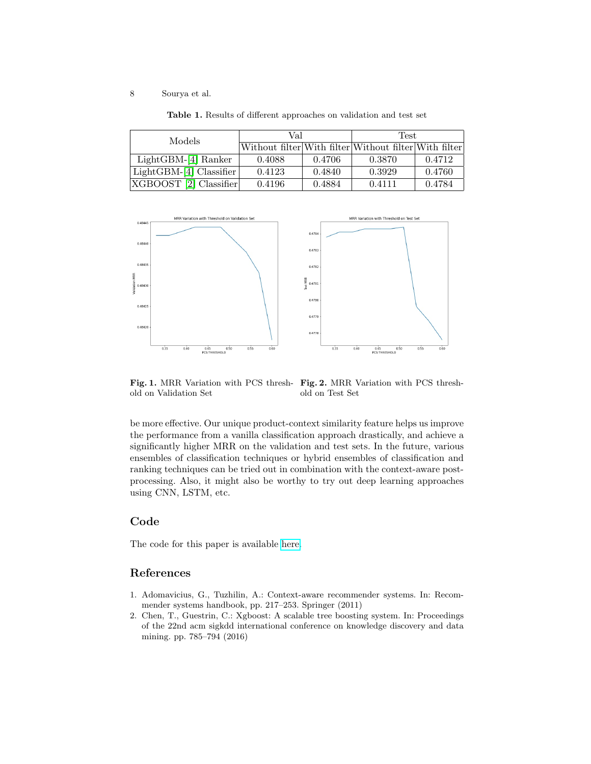| Models                  | Val    |        | Test                                                  |        |
|-------------------------|--------|--------|-------------------------------------------------------|--------|
|                         |        |        | Without filter With filter Without filter With filter |        |
| $LightGBM-[4] Ranker$   | 0.4088 | 0.4706 | 0.3870                                                | 0.4712 |
| $LightGBM-4 Classifier$ | 0.4123 | 0.4840 | 0.3929                                                | 0.4760 |
| [XGBOOST 2] Classifier  | 0.4196 | 0.4884 | 0.4111                                                | 0.4784 |

<span id="page-7-2"></span>Table 1. Results of different approaches on validation and test set



old on Validation Set

<span id="page-7-4"></span><span id="page-7-3"></span>Fig. 1. MRR Variation with PCS thresh-Fig. 2. MRR Variation with PCS threshold on Test Set

be more effective. Our unique product-context similarity feature helps us improve the performance from a vanilla classification approach drastically, and achieve a significantly higher MRR on the validation and test sets. In the future, various ensembles of classification techniques or hybrid ensembles of classification and ranking techniques can be tried out in combination with the context-aware postprocessing. Also, it might also be worthy to try out deep learning approaches using CNN, LSTM, etc.

## Code

The code for this paper is available [here.](https://github.com/diptamath/Context-aware-Retail-Product-Recommendation)

## References

- <span id="page-7-0"></span>1. Adomavicius, G., Tuzhilin, A.: Context-aware recommender systems. In: Recommender systems handbook, pp. 217–253. Springer (2011)
- <span id="page-7-1"></span>2. Chen, T., Guestrin, C.: Xgboost: A scalable tree boosting system. In: Proceedings of the 22nd acm sigkdd international conference on knowledge discovery and data mining. pp. 785–794 (2016)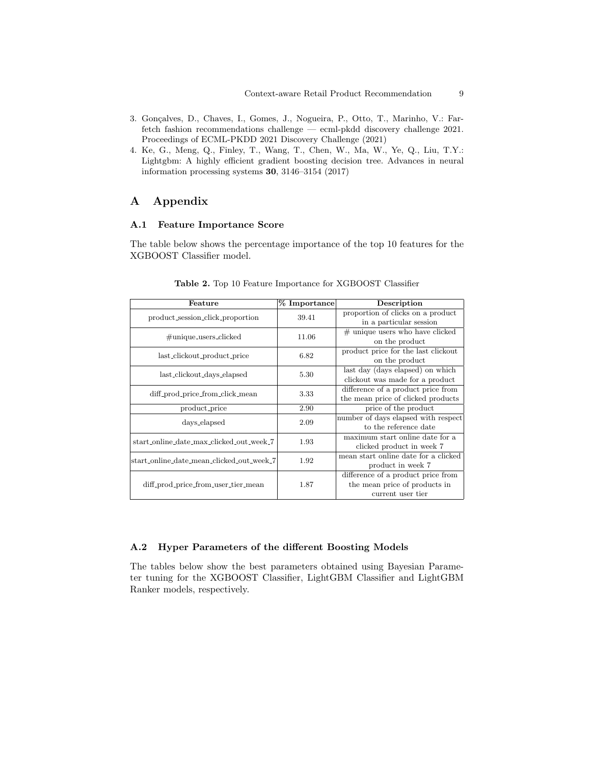- <span id="page-8-0"></span>3. Gonçalves, D., Chaves, I., Gomes, J., Nogueira, P., Otto, T., Marinho, V.: Farfetch fashion recommendations challenge — ecml-pkdd discovery challenge 2021. Proceedings of ECML-PKDD 2021 Discovery Challenge (2021)
- <span id="page-8-1"></span>4. Ke, G., Meng, Q., Finley, T., Wang, T., Chen, W., Ma, W., Ye, Q., Liu, T.Y.: Lightgbm: A highly efficient gradient boosting decision tree. Advances in neural information processing systems 30, 3146–3154 (2017)

# <span id="page-8-3"></span>A Appendix

#### <span id="page-8-4"></span>A.1 Feature Importance Score

The table below shows the percentage importance of the top 10 features for the XGBOOST Classifier model.

| Feature |                                                                                                                             |  |  |  |  |
|---------|-----------------------------------------------------------------------------------------------------------------------------|--|--|--|--|
|         | Description                                                                                                                 |  |  |  |  |
|         | proportion of clicks on a product                                                                                           |  |  |  |  |
|         | in a particular session                                                                                                     |  |  |  |  |
|         | $#$ unique users who have clicked                                                                                           |  |  |  |  |
|         | on the product                                                                                                              |  |  |  |  |
|         | product price for the last clickout                                                                                         |  |  |  |  |
|         | on the product                                                                                                              |  |  |  |  |
|         | last day (days elapsed) on which                                                                                            |  |  |  |  |
|         | clickout was made for a product                                                                                             |  |  |  |  |
|         | difference of a product price from                                                                                          |  |  |  |  |
|         | the mean price of clicked products                                                                                          |  |  |  |  |
| 2.90    | price of the product                                                                                                        |  |  |  |  |
|         | number of days elapsed with respect                                                                                         |  |  |  |  |
|         | to the reference date                                                                                                       |  |  |  |  |
|         | maximum start online date for a                                                                                             |  |  |  |  |
|         | clicked product in week 7                                                                                                   |  |  |  |  |
|         | mean start online date for a clicked                                                                                        |  |  |  |  |
|         | product in week 7                                                                                                           |  |  |  |  |
|         | difference of a product price from                                                                                          |  |  |  |  |
| 1.87    | the mean price of products in                                                                                               |  |  |  |  |
|         | current user tier                                                                                                           |  |  |  |  |
|         | % Importance<br>39.41<br>11.06<br>6.82<br>5.30<br>3.33<br>2.09<br>1.93<br>start_online_date_mean_clicked_out_week_7<br>1.92 |  |  |  |  |

<span id="page-8-5"></span>Table 2. Top 10 Feature Importance for XGBOOST Classifier

## <span id="page-8-2"></span>A.2 Hyper Parameters of the different Boosting Models

The tables below show the best parameters obtained using Bayesian Parameter tuning for the XGBOOST Classifier, LightGBM Classifier and LightGBM Ranker models, respectively.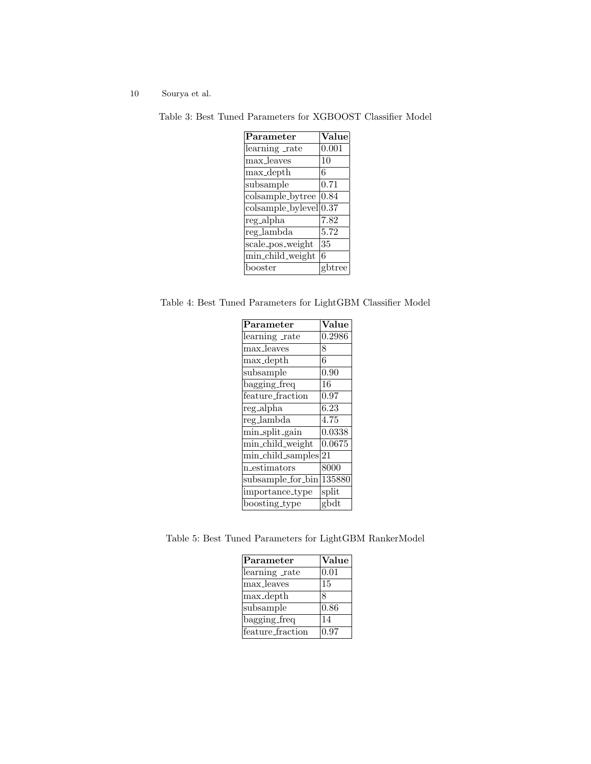Table 3: Best Tuned Parameters for XGBOOST Classifier Model

| $\rm Parameter$                 | Value  |
|---------------------------------|--------|
| learning rate                   | 0.001  |
| max_leaves                      | 10     |
| max_depth                       | 6      |
| subsample                       | 0.71   |
| colsample_bytree                | 0.84   |
| colsample_bylevel 0.37          |        |
| $\bar{\text{reg}}$ _alpha       | 7.82   |
| $\overline{\text{reg}}$ _lambda | 5.72   |
| scale_pos_weight                | 35     |
| min_child_weight                | 6      |
| booster                         | gbtree |

Table 4: Best Tuned Parameters for LightGBM Classifier Model

| $\overline{\mathrm{Parameter}}$         | $\overline{\text{Value}}$ |
|-----------------------------------------|---------------------------|
| learning rate                           | 0.2986                    |
| max_leaves                              | 8                         |
| max_depth                               | 6                         |
| subsample                               | 0.90                      |
| bagging_freq                            | 16                        |
| feature_fraction                        | 0.97                      |
| $reg\_alpha$                            | 6.23                      |
| reg_lambda                              | 4.75                      |
| min_split_gain                          | 0.0338                    |
| min_child_weight                        | 0.0675                    |
| min_child_samples                       | 21                        |
| $n$ _estimators                         | 8000                      |
| $subsample\_for\_bin$ <sup>135880</sup> |                           |
| importance_type                         | split                     |
| boosting_type                           | gbdt                      |
|                                         |                           |

Table 5: Best Tuned Parameters for LightGBM RankerModel

| Parameter        | Value |
|------------------|-------|
| learning rate    | 0.01  |
| max_leaves       | 15    |
| max_depth        | 8     |
| subsample        | 0.86  |
| bagging_freq     | 14    |
| feature_fraction | 0.97  |